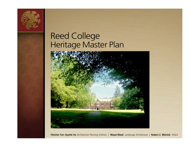

# Reed College Heritage Master Plan



**Fletcher Farr Ayotte Inc** Architecture Planning Interiors | **Mayer/Reed** Landscape Architecture | **Robert Z. Melnick** FASLA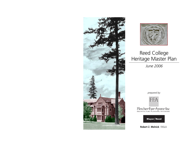



### Reed College Heritage Master Plan

June 2006

prepared by:



Fletcher Farr Ayotte Inc

 $\mathbf{Mayer/}\mathbf{Red}$ 

**Robert Z. Melnick** FASLA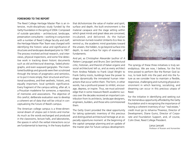#### **FOREWORD TO THE REPOR T**

The Reed College Heritage Master Plan is an intensive, multi-disciplinary study funded by the Getty Foundation in the spring of 2004. Composed of outside specialists – architectural, landscape, preservation consultants – working in conjunction with a number of Reed College faculty and staff, the Heritage Master Plan Team was charged with identifying the historic value and significance of structures and landscapes developed prior to 1967. The process involved archival research, oral interviews, physical inspections, and some fine detective work in tracking down historic documents such as old architectural drawings, faded photographs, and even wayward gargoyles. The inventoried buildings and grounds were then scrutinized through the lenses of pragmatics and semiotics, or to put it more simply, their structural and functional soundness, and their aesthetic, historic, and, equally important, local symbolic significance. Every fragment of the campus setting, after all, is a Proustian madeleine for someone, a repository of memories and associations. The objective of this careful, deliberate evaluation was to develop a coherent set of data that will be critical in conceptualizing the future of Reed's campus.

The American college campus is a three-dimensional dream of utopia cast in bricks and mortar. As much as the words exchanged and produced in the classrooms, lecture halls, and laboratories, the spaces in which the verbal interactions occur are fundamental to learning. In the hoary dualism that dichotomizes the value of matter and spirit, surface and depth, the built environment is the material carapace and the stage setting within which great minds and great ideas are conceived, incubated, and delivered. As the Italian semiotician-turned-novelist Umberto Eco likes to remind us, the academic mind gravitates towar d the unseen, the hidden, to go beyond surface into depth, to read surface for signs of essences, of fundaments.

And yet, as Christopher Alexander (author of A Pattern Language) and Bruno Zevi (architectural critic, historian, and theorist of Italian organic and social architecture) tell us, and as every architect from Andrea Palladio to Frank Lloyd Wright to Frank Gehry insists, buildings have the power to shape dynamically the immaterial human interactions that occur within them. The form, in other words, has a profound power to inhibit, encourage, depress, or inspire. Thus, we must acknowledge that in some measure Reed's academic success over the decades received an important contribution from its architects, landscape designers, engineers, builders, and those who commissioned them.

The Getty Grant provided the ideal opportunity for taking systematic inventory of this precious and distinguished architectural heritage at an especially opportune moment: at the beginning of the capital campaign planning and an update of the master plan for future campus development.



The synergy of these three initiatives is truly serendipitous. We are now, I believe, for the first time poised to perform like the Roman God Janus, to look both into the past and into the future as we consider how to maintain a flexible, responsive, challenging and nurturing physical environment in which learning, socializing, and dreaming can occur in this precious utopia of Reed.

For the initiative in identifying and seeking out the tremendous opportunity afforded by the Getty Foundation and in recognizing the importance of having a coherent inventory of our "real estate," credit must go to Johanna Thoeresz, Director of Development, Diane Gumz, Director of Corporate and Foundation Support, and, of course, Colin Diver, Reed College President.

> Lena Lencek Professor of Russian and Humanities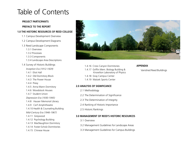## Table of Contents

#### **PROJECT PARTICIPANTS**

**PREFACE TO THE REPORT**

#### **1.0 THE HISTORIC RESOURCES OF REED COLLEGE**

- 1.1 Campus Development Overview
- 1.2 Campus Development Diagrams
- 1.3 Reed Landscape Components
	- 1.3.1 Overview
	- 1.3.2 Processes
	- 1.3.3 Components
	- 1.3.4 Landscape Area Descriptions
- 1.4 Survey of Historic Buildings
	- Inception Era (1912-1929)
	- 1.4.1 Eliot Hall
	- 1.4.2 Old Dormitory Block
	- 1.4.3 The Power House
	- 1.4.4 Prexy
	- 1.4.5 Anna Mann Dormitory
	- 1.4.6 Woodstock Houses
	- 1.4.7 Student Union
	- Depression Era (1930-1945)
	- 1.4.8 Hauser Memorial Library
	- 1.4.9 Cerf Amphitheatre
	- 1.4.10 Health & Counseling Building
	- Mid-Century Era (1946-1967)
	- 1.4.11 Greywood
	- 1.4.12 Psychology Building
	- 1.4.13 MacNaughton Dormitory
	- 1.4.14 Foster-Scholz Dormitories
	- 1.4.15 Chinese House



- 1.4.16 Cross Canyon Dormitories
- 1.4.17 Griffin Mem. Biology Building & Knowlton Laboratory of Physics
- 1.4.18 Gray Campus Center
- 1.4.19 Watzek Sports Center

#### **2.0 ANALYSIS OF SIGNIFICANCE**

- 2.1 Methodology
- 2.2 The Determination of Significance
- 2.3 The Determination of Integrity
- 2.4 Ranking of Historic Importance
- 2.5 Historic Rankings

#### **3.0 MANAGEMENT OF REED'S HISTORIC RESOURCES**

- 3.1 Overview
- 3.2 Management Guidelines for Landscape Areas
- 3.3 Management Guidelines for Campus Buildings

#### **APPENDIX**

Vanished Reed Buildings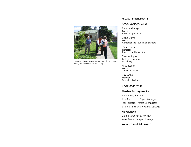

Professor Charles Rhyne leads a tour of the campus during the project kick-off meeting.

#### **PROJECT PARTICIPANTS**

#### Reed Advisory Group

Townsend Angell Director Facilities Operations

Diane Gumz Director Corporate and Foundation Support

Lena Lencek Professor Russian and Humanities

Charles Rhyne Professor Emeritus Art History

Mike Teskey Director Alumni Relations

Gay Walker Librarian Special Collections

Consultant Team

**Fletcher Farr Ayotte Inc**

Hal Ayotte, Principal Troy Ainsworth, Project Manager Paul Falsetto, Project Coordinator Shannon Bell, Preservation Specialist

#### **Mayer/Reed**

Carol Mayer-Reed, Principal Irene Bowers, Project Manager

**Robert Z. Melnick, FASLA**